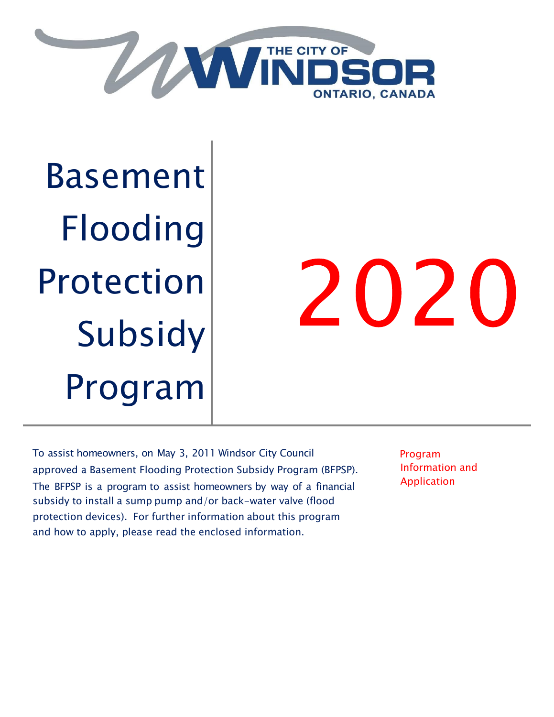

Basement Flooding Protection Subsidy Program

# 2020

To assist homeowners, on May 3, 2011 Windsor City Council approved a Basement Flooding Protection Subsidy Program (BFPSP). The BFPSP is a program to assist homeowners by way of a financial subsidy to install a sump pump and/or back-water valve (flood protection devices). For further information about this program and how to apply, please read the enclosed information.

Program Information and Application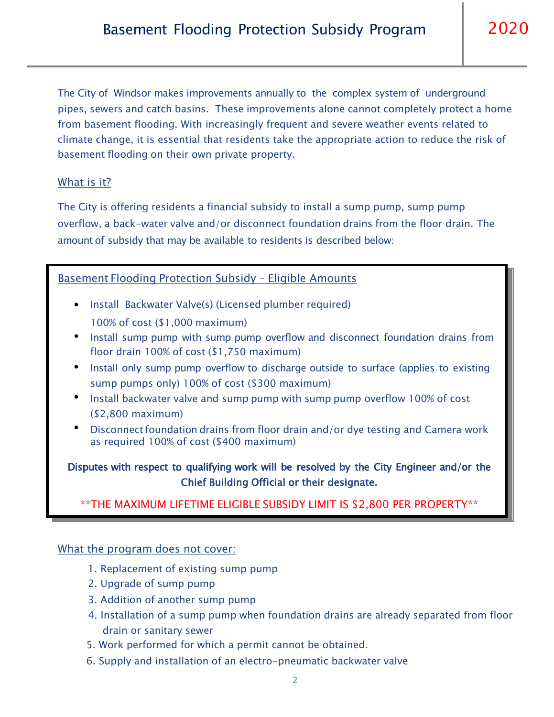The City of Windsor makes improvements annually to the complex system of underground pipes, sewers and catch basins. These improvements alone cannot completely protect a home from basement flooding. With increasingly frequent and severe weather events related to climate change, it is essential that residents take the appropriate action to reduce the risk of basement flooding on their own private property.

### What is it?

The City is offering residents a financial subsidy to install a sump pump, sump pump overflow, a back-water valve and/or disconnect foundation drains from the floor drain. The amount of subsidy that may be available to residents is described below:

### Basement Flooding Protection Subsidy – Eligible Amounts

- Install Backwater Valve(s) (Licensed plumber required) 100% of cost (\$1,000 maximum)
- Install sump pump with sump pump overflow and disconnect foundation drains from floor drain 100% of cost (\$1,750 maximum)
- Install only sump pump overflow to discharge outside to surface (applies to existing sump pumps only) 100% of cost (\$300 maximum)
- Install backwater valve and sump pump with sump pump overflow 100% of cost (\$2,800 maximum)
- Disconnect foundation drains from floor drain and/or dye testing and Camera work as required 100% of cost (\$400 maximum) •

## Disputes with respect to qualifying work will be resolved by the City Engineer and/or the Chief Building Official or their designate.

### \*\*THE MAXIMUM LIFETIME ELIGIBLE SUBSIDY LIMIT IS \$2,800 PER PROPERTY\*\*

### What the program does not cover:

- 1. Replacement of existing sump pump
- 2. Upgrade of sump pump
- 3. Addition of another sump pump
- 4. Installation of a sump pump when foundation drains are already separated from floor drain or sanitary sewer
- 5. Work performed for which a permit cannot be obtained.
- 6. Supply and installation of an electro-pneumatic backwater valve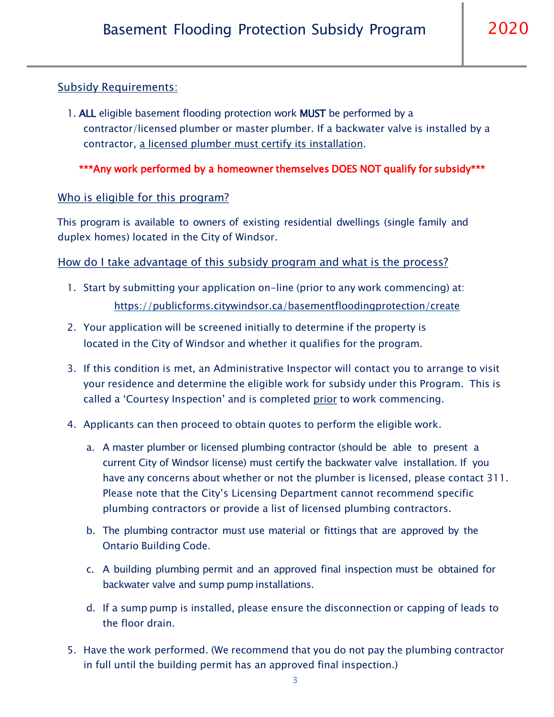### Subsidy Requirements:

1. ALL eligible basement flooding protection work MUST be performed by a contractor/licensed plumber or master plumber. If a backwater valve is installed by a contractor, a licensed plumber must certify its installation.

\*\*\*Any work performed by a homeowner themselves DOES NOT qualify for subsidy\*\*\*

### Who is eligible for this program?

This program is available to owners of existing residential dwellings (single family and duplex homes) located in the City of Windsor.

How do I take advantage of this subsidy program and what is the process?

- 1. Start by submitting your application on-line (prior to any work commencing) at: https://publicforms.citywindsor.ca/basementfloodingprotection/create
- 2. Your application will be screened initially to determine if the property is located in the City of Windsor and whether it qualifies for the program.
- 3. If this condition is met, an Administrative Inspector will contact you to arrange to visit your residence and determine the eligible work for subsidy under this Program. This is called a 'Courtesy Inspection' and is completed prior to work commencing.
- 4. Applicants can then proceed to obtain quotes to perform the eligible work.
	- a. A master plumber or licensed plumbing contractor (should be able to present a current City of Windsor license) must certify the backwater valve installation. If you have any concerns about whether or not the plumber is licensed, please contact 311. Please note that the City's Licensing Department cannot recommend specific plumbing contractors or provide a list of licensed plumbing contractors.
	- b. The plumbing contractor must use material or fittings that are approved by the Ontario Building Code.
	- c. A building plumbing permit and an approved final inspection must be obtained for backwater valve and sump pump installations.
	- d. If a sump pump is installed, please ensure the disconnection or capping of leads to the floor drain.
- 5. Have the work performed. (We recommend that you do not pay the plumbing contractor in full until the building permit has an approved final inspection.)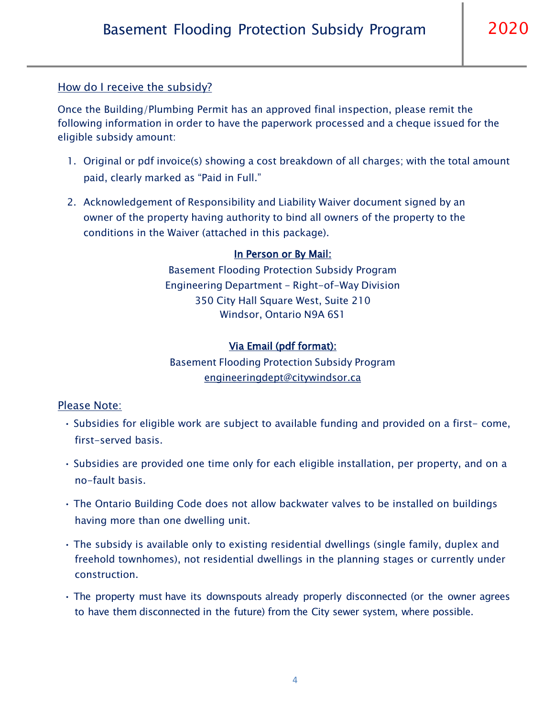### How do I receive the subsidy?

Once the Building/Plumbing Permit has an approved final inspection, please remit the following information in order to have the paperwork processed and a cheque issued for the eligible subsidy amount:

- 1. Original or pdf invoice(s) showing a cost breakdown of all charges; with the total amount paid, clearly marked as "Paid in Full."
- 2. Acknowledgement of Responsibility and Liability Waiver document signed by an owner of the property having authority to bind all owners of the property to the conditions in the Waiver (attached in this package).

### In Person or By Mail:

Basement Flooding Protection Subsidy Program Engineering Department - Right-of-Way Division 350 City Hall Square West, Suite 210 Windsor, Ontario N9A 6S1

### Via Email (pdf format):

Basement Flooding Protection Subsidy Program [engineeringdept@citywindsor.ca](mailto:engineeringdept@citywindsor.ca)

### Please Note:

- Subsidies for eligible work are subject to available funding and provided on a first- come, first-served basis.
- Subsidies are provided one time only for each eligible installation, per property, and on a no-fault basis.
- The Ontario Building Code does not allow backwater valves to be installed on buildings having more than one dwelling unit.
- The subsidy is available only to existing residential dwellings (single family, duplex and freehold townhomes), not residential dwellings in the planning stages or currently under construction.
- The property must have its downspouts already properly disconnected (or the owner agrees to have them disconnected in the future) from the City sewer system, where possible.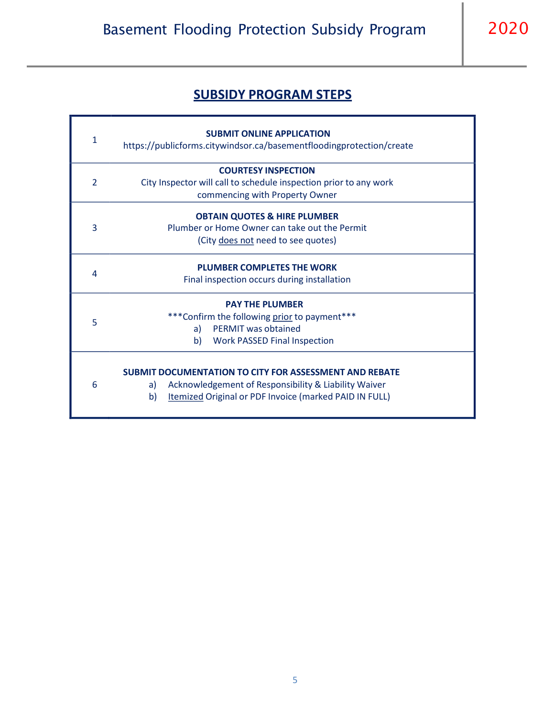# **SUBSIDY PROGRAM STEPS**

| $\mathbf{1}$<br>https://publicforms.citywindsor.ca/basementfloodingprotection/create |  |
|--------------------------------------------------------------------------------------|--|
| <b>COURTESY INSPECTION</b>                                                           |  |
| $\overline{2}$<br>City Inspector will call to schedule inspection prior to any work  |  |
| commencing with Property Owner                                                       |  |
| <b>OBTAIN QUOTES &amp; HIRE PLUMBER</b>                                              |  |
| 3<br>Plumber or Home Owner can take out the Permit                                   |  |
| (City does not need to see quotes)                                                   |  |
| <b>PLUMBER COMPLETES THE WORK</b>                                                    |  |
| 4<br>Final inspection occurs during installation                                     |  |
| <b>PAY THE PLUMBER</b>                                                               |  |
| ***Confirm the following prior to payment***<br>5                                    |  |
| <b>PERMIT was obtained</b><br>a)                                                     |  |
| b)<br><b>Work PASSED Final Inspection</b>                                            |  |
|                                                                                      |  |
| <b>SUBMIT DOCUMENTATION TO CITY FOR ASSESSMENT AND REBATE</b>                        |  |
| 6<br>Acknowledgement of Responsibility & Liability Waiver<br>a)                      |  |
| Itemized Original or PDF Invoice (marked PAID IN FULL)<br>b)                         |  |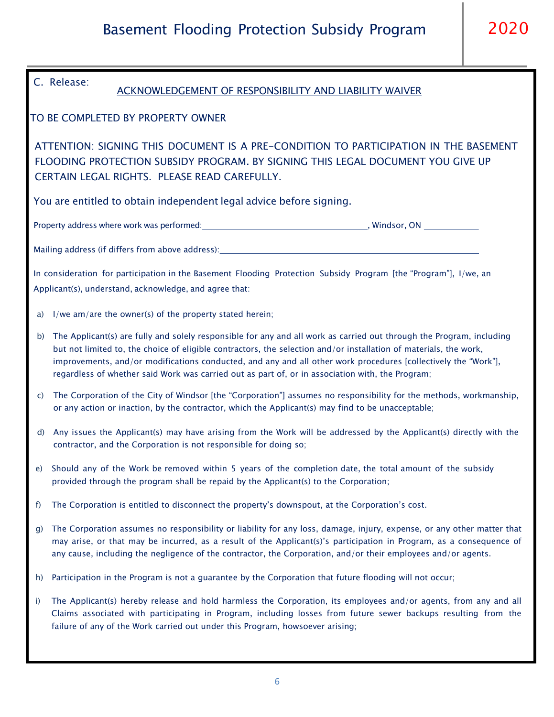| C. Release:<br><b>ACKNOWLEDGEMENT OF RESPONSIBILITY AND LIABILITY WAIVER</b><br>TO BE COMPLETED BY PROPERTY OWNER<br>ATTENTION: SIGNING THIS DOCUMENT IS A PRE-CONDITION TO PARTICIPATION IN THE BASEMENT<br>FLOODING PROTECTION SUBSIDY PROGRAM. BY SIGNING THIS LEGAL DOCUMENT YOU GIVE UP<br>CERTAIN LEGAL RIGHTS. PLEASE READ CAREFULLY.<br>You are entitled to obtain independent legal advice before signing.<br>In consideration for participation in the Basement Flooding Protection Subsidy Program [the "Program"], I/we, an<br>Applicant(s), understand, acknowledge, and agree that:<br>I/we am/are the owner(s) of the property stated herein;<br>a)<br>The Applicant(s) are fully and solely responsible for any and all work as carried out through the Program, including<br>b)<br>but not limited to, the choice of eligible contractors, the selection and/or installation of materials, the work,<br>improvements, and/or modifications conducted, and any and all other work procedures [collectively the "Work"],<br>regardless of whether said Work was carried out as part of, or in association with, the Program;<br>The Corporation of the City of Windsor [the "Corporation"] assumes no responsibility for the methods, workmanship,<br>C)<br>or any action or inaction, by the contractor, which the Applicant(s) may find to be unacceptable;<br>Any issues the Applicant(s) may have arising from the Work will be addressed by the Applicant(s) directly with the<br>$\mathsf{d}$<br>contractor, and the Corporation is not responsible for doing so;<br>e) Should any of the Work be removed within 5 years of the completion date, the total amount of the subsidy<br>provided through the program shall be repaid by the Applicant(s) to the Corporation;<br>The Corporation is entitled to disconnect the property's downspout, at the Corporation's cost.<br>f)<br>The Corporation assumes no responsibility or liability for any loss, damage, injury, expense, or any other matter that<br>g)<br>may arise, or that may be incurred, as a result of the Applicant(s)'s participation in Program, as a consequence of<br>any cause, including the negligence of the contractor, the Corporation, and/or their employees and/or agents.<br>Participation in the Program is not a guarantee by the Corporation that future flooding will not occur;<br>h)<br>The Applicant(s) hereby release and hold harmless the Corporation, its employees and/or agents, from any and all<br>i)<br>Claims associated with participating in Program, including losses from future sewer backups resulting from the<br>failure of any of the Work carried out under this Program, howsoever arising; |  |  |  |
|-----------------------------------------------------------------------------------------------------------------------------------------------------------------------------------------------------------------------------------------------------------------------------------------------------------------------------------------------------------------------------------------------------------------------------------------------------------------------------------------------------------------------------------------------------------------------------------------------------------------------------------------------------------------------------------------------------------------------------------------------------------------------------------------------------------------------------------------------------------------------------------------------------------------------------------------------------------------------------------------------------------------------------------------------------------------------------------------------------------------------------------------------------------------------------------------------------------------------------------------------------------------------------------------------------------------------------------------------------------------------------------------------------------------------------------------------------------------------------------------------------------------------------------------------------------------------------------------------------------------------------------------------------------------------------------------------------------------------------------------------------------------------------------------------------------------------------------------------------------------------------------------------------------------------------------------------------------------------------------------------------------------------------------------------------------------------------------------------------------------------------------------------------------------------------------------------------------------------------------------------------------------------------------------------------------------------------------------------------------------------------------------------------------------------------------------------------------------------------------------------------------------------------------------------------------------------------------------------------------------------------------------------------------------------------------------------------------------------------|--|--|--|
|                                                                                                                                                                                                                                                                                                                                                                                                                                                                                                                                                                                                                                                                                                                                                                                                                                                                                                                                                                                                                                                                                                                                                                                                                                                                                                                                                                                                                                                                                                                                                                                                                                                                                                                                                                                                                                                                                                                                                                                                                                                                                                                                                                                                                                                                                                                                                                                                                                                                                                                                                                                                                                                                                                                             |  |  |  |
|                                                                                                                                                                                                                                                                                                                                                                                                                                                                                                                                                                                                                                                                                                                                                                                                                                                                                                                                                                                                                                                                                                                                                                                                                                                                                                                                                                                                                                                                                                                                                                                                                                                                                                                                                                                                                                                                                                                                                                                                                                                                                                                                                                                                                                                                                                                                                                                                                                                                                                                                                                                                                                                                                                                             |  |  |  |
|                                                                                                                                                                                                                                                                                                                                                                                                                                                                                                                                                                                                                                                                                                                                                                                                                                                                                                                                                                                                                                                                                                                                                                                                                                                                                                                                                                                                                                                                                                                                                                                                                                                                                                                                                                                                                                                                                                                                                                                                                                                                                                                                                                                                                                                                                                                                                                                                                                                                                                                                                                                                                                                                                                                             |  |  |  |
|                                                                                                                                                                                                                                                                                                                                                                                                                                                                                                                                                                                                                                                                                                                                                                                                                                                                                                                                                                                                                                                                                                                                                                                                                                                                                                                                                                                                                                                                                                                                                                                                                                                                                                                                                                                                                                                                                                                                                                                                                                                                                                                                                                                                                                                                                                                                                                                                                                                                                                                                                                                                                                                                                                                             |  |  |  |
|                                                                                                                                                                                                                                                                                                                                                                                                                                                                                                                                                                                                                                                                                                                                                                                                                                                                                                                                                                                                                                                                                                                                                                                                                                                                                                                                                                                                                                                                                                                                                                                                                                                                                                                                                                                                                                                                                                                                                                                                                                                                                                                                                                                                                                                                                                                                                                                                                                                                                                                                                                                                                                                                                                                             |  |  |  |
|                                                                                                                                                                                                                                                                                                                                                                                                                                                                                                                                                                                                                                                                                                                                                                                                                                                                                                                                                                                                                                                                                                                                                                                                                                                                                                                                                                                                                                                                                                                                                                                                                                                                                                                                                                                                                                                                                                                                                                                                                                                                                                                                                                                                                                                                                                                                                                                                                                                                                                                                                                                                                                                                                                                             |  |  |  |
|                                                                                                                                                                                                                                                                                                                                                                                                                                                                                                                                                                                                                                                                                                                                                                                                                                                                                                                                                                                                                                                                                                                                                                                                                                                                                                                                                                                                                                                                                                                                                                                                                                                                                                                                                                                                                                                                                                                                                                                                                                                                                                                                                                                                                                                                                                                                                                                                                                                                                                                                                                                                                                                                                                                             |  |  |  |
|                                                                                                                                                                                                                                                                                                                                                                                                                                                                                                                                                                                                                                                                                                                                                                                                                                                                                                                                                                                                                                                                                                                                                                                                                                                                                                                                                                                                                                                                                                                                                                                                                                                                                                                                                                                                                                                                                                                                                                                                                                                                                                                                                                                                                                                                                                                                                                                                                                                                                                                                                                                                                                                                                                                             |  |  |  |
|                                                                                                                                                                                                                                                                                                                                                                                                                                                                                                                                                                                                                                                                                                                                                                                                                                                                                                                                                                                                                                                                                                                                                                                                                                                                                                                                                                                                                                                                                                                                                                                                                                                                                                                                                                                                                                                                                                                                                                                                                                                                                                                                                                                                                                                                                                                                                                                                                                                                                                                                                                                                                                                                                                                             |  |  |  |
|                                                                                                                                                                                                                                                                                                                                                                                                                                                                                                                                                                                                                                                                                                                                                                                                                                                                                                                                                                                                                                                                                                                                                                                                                                                                                                                                                                                                                                                                                                                                                                                                                                                                                                                                                                                                                                                                                                                                                                                                                                                                                                                                                                                                                                                                                                                                                                                                                                                                                                                                                                                                                                                                                                                             |  |  |  |
|                                                                                                                                                                                                                                                                                                                                                                                                                                                                                                                                                                                                                                                                                                                                                                                                                                                                                                                                                                                                                                                                                                                                                                                                                                                                                                                                                                                                                                                                                                                                                                                                                                                                                                                                                                                                                                                                                                                                                                                                                                                                                                                                                                                                                                                                                                                                                                                                                                                                                                                                                                                                                                                                                                                             |  |  |  |
|                                                                                                                                                                                                                                                                                                                                                                                                                                                                                                                                                                                                                                                                                                                                                                                                                                                                                                                                                                                                                                                                                                                                                                                                                                                                                                                                                                                                                                                                                                                                                                                                                                                                                                                                                                                                                                                                                                                                                                                                                                                                                                                                                                                                                                                                                                                                                                                                                                                                                                                                                                                                                                                                                                                             |  |  |  |
|                                                                                                                                                                                                                                                                                                                                                                                                                                                                                                                                                                                                                                                                                                                                                                                                                                                                                                                                                                                                                                                                                                                                                                                                                                                                                                                                                                                                                                                                                                                                                                                                                                                                                                                                                                                                                                                                                                                                                                                                                                                                                                                                                                                                                                                                                                                                                                                                                                                                                                                                                                                                                                                                                                                             |  |  |  |
|                                                                                                                                                                                                                                                                                                                                                                                                                                                                                                                                                                                                                                                                                                                                                                                                                                                                                                                                                                                                                                                                                                                                                                                                                                                                                                                                                                                                                                                                                                                                                                                                                                                                                                                                                                                                                                                                                                                                                                                                                                                                                                                                                                                                                                                                                                                                                                                                                                                                                                                                                                                                                                                                                                                             |  |  |  |
|                                                                                                                                                                                                                                                                                                                                                                                                                                                                                                                                                                                                                                                                                                                                                                                                                                                                                                                                                                                                                                                                                                                                                                                                                                                                                                                                                                                                                                                                                                                                                                                                                                                                                                                                                                                                                                                                                                                                                                                                                                                                                                                                                                                                                                                                                                                                                                                                                                                                                                                                                                                                                                                                                                                             |  |  |  |
|                                                                                                                                                                                                                                                                                                                                                                                                                                                                                                                                                                                                                                                                                                                                                                                                                                                                                                                                                                                                                                                                                                                                                                                                                                                                                                                                                                                                                                                                                                                                                                                                                                                                                                                                                                                                                                                                                                                                                                                                                                                                                                                                                                                                                                                                                                                                                                                                                                                                                                                                                                                                                                                                                                                             |  |  |  |
|                                                                                                                                                                                                                                                                                                                                                                                                                                                                                                                                                                                                                                                                                                                                                                                                                                                                                                                                                                                                                                                                                                                                                                                                                                                                                                                                                                                                                                                                                                                                                                                                                                                                                                                                                                                                                                                                                                                                                                                                                                                                                                                                                                                                                                                                                                                                                                                                                                                                                                                                                                                                                                                                                                                             |  |  |  |